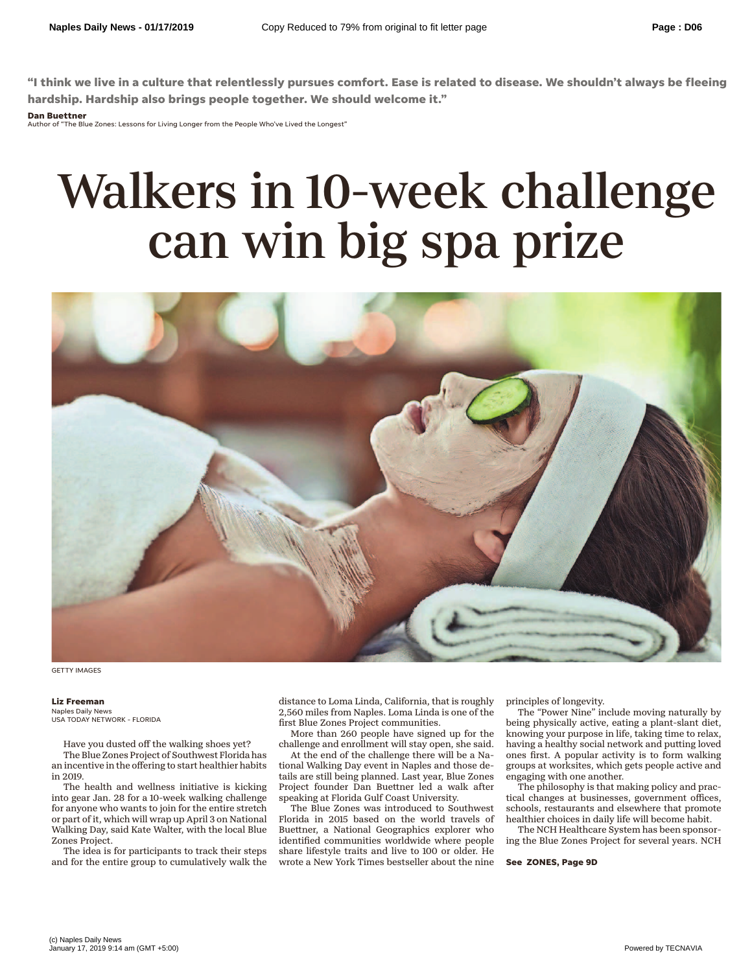**"I think we live in a culture that relentlessly pursues comfort. Ease is related to disease. We shouldn't always be fleeing hardship. Hardship also brings people together. We should welcome it."**

## **Dan Buettner**

Author of "The Blue Zones: Lessons for Living Longer from the People Who've Lived the Longest"

## Walkers in 10-week challenge can win big spa prize



GETTY IMAGES

## **Liz Freeman**

Naples Daily News USA TODAY NETWORK - FLORIDA

Have you dusted off the walking shoes yet? The Blue Zones Project of Southwest Florida has an incentive in the offering to start healthier habits in 2019.

The health and wellness initiative is kicking into gear Jan. 28 for a 10-week walking challenge for anyone who wants to join for the entire stretch or part of it, which will wrap up April 3 on National Walking Day, said Kate Walter, with the local Blue Zones Project.

The idea is for participants to track their steps and for the entire group to cumulatively walk the distance to Loma Linda, California, that is roughly 2,560 miles from Naples. Loma Linda is one of the first Blue Zones Project communities.

More than 260 people have signed up for the challenge and enrollment will stay open, she said.

At the end of the challenge there will be a National Walking Day event in Naples and those details are still being planned. Last year, Blue Zones Project founder Dan Buettner led a walk after speaking at Florida Gulf Coast University.

The Blue Zones was introduced to Southwest Florida in 2015 based on the world travels of Buettner, a National Geographics explorer who identified communities worldwide where people share lifestyle traits and live to 100 or older. He wrote a New York Times bestseller about the nine principles of longevity.

The "Power Nine" include moving naturally by being physically active, eating a plant-slant diet, knowing your purpose in life, taking time to relax, having a healthy social network and putting loved ones first. A popular activity is to form walking groups at worksites, which gets people active and engaging with one another.

The philosophy is that making policy and practical changes at businesses, government offices, schools, restaurants and elsewhere that promote healthier choices in daily life will become habit.

The NCH Healthcare System has been sponsoring the Blue Zones Project for several years. NCH

**See ZONES, Page 9D**